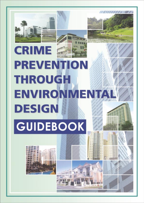



# **PREVENTION THROUGH ENVIRONMENTA DESIGN** GUIDEBOOK

Crime Prevention Through Environmental Design Guidebook **3**

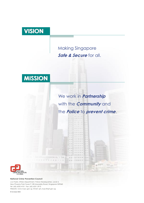# **VISION**

### Making Singapore *Safe & Secure* for all.



## We work in *Partnership* with the *Community* and the *Police* to *prevent crime*.



#### **National Crime Prevention Council**

c/o Public Affairs Department, Police Headquarters, Level 4, New Phoenix Park Tower P, 28 Irrawaddy Road, Singapore 329560 Tel: (65) 6252 4101 Fax: (65) 6251 2913 Website: www.ncpc.gov.sg Email: spf\_ncpc@spf.gov.sg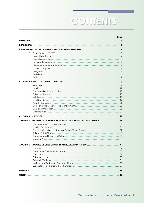# CONTENTS

|   |                                                                                 | rage<br>Ϊi     |
|---|---------------------------------------------------------------------------------|----------------|
|   |                                                                                 |                |
|   |                                                                                 | 1              |
|   |                                                                                 |                |
| ❏ |                                                                                 |                |
|   |                                                                                 | $\overline{4}$ |
|   |                                                                                 | $\overline{4}$ |
|   |                                                                                 | 5              |
|   |                                                                                 | 5              |
| □ |                                                                                 |                |
|   |                                                                                 |                |
|   |                                                                                 |                |
|   |                                                                                 | 7              |
|   |                                                                                 |                |
|   |                                                                                 |                |
|   |                                                                                 |                |
|   |                                                                                 |                |
|   |                                                                                 |                |
|   |                                                                                 |                |
|   |                                                                                 |                |
|   |                                                                                 |                |
|   |                                                                                 |                |
|   |                                                                                 |                |
|   |                                                                                 |                |
|   |                                                                                 |                |
|   | APPENDIX B: EXAMPLES OF CPTED STRATEGIES APPLICABLE TO VARIOUS DEVELOPMENTS  34 |                |
|   |                                                                                 |                |
|   |                                                                                 |                |
|   |                                                                                 |                |
|   |                                                                                 |                |
|   |                                                                                 |                |
|   |                                                                                 |                |
|   | <b>EXAMPLES OF CPTED STRATEGIES APPLICARLE TO PURLIC SPACES</b>                 | 47             |
|   |                                                                                 |                |
|   |                                                                                 |                |
|   |                                                                                 |                |
|   |                                                                                 |                |
|   |                                                                                 |                |
|   |                                                                                 |                |
|   |                                                                                 |                |
|   |                                                                                 |                |
|   |                                                                                 |                |
|   |                                                                                 |                |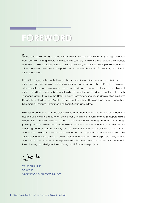# **FOREWORD FOREWORD**

Since its inception in 1981, the National Crime Prevention Council (NCPC) of Singapore had been actively working towards the objectives, such as, to raise the level of public awareness about crime; to encourage self-help in crime prevention; to examine, develop and recommend crime prevention measures to the public and to coordinate efforts of various organisations in crime prevention.

The NCPC engages the public through the organisation of crime prevention activities such as crime prevention campaigns, exhibitions, seminars and workshops. The NCPC also forges close alliances with various professional, social and trade organisations to tackle the problem of crime. In addition, various sub-committees have been formed to address problems of security in specific areas. They are the Hotel Security Committee, Security in Construction Worksites Committee, Children and Youth Committee, Security in Housing Committee, Security in Commercial Premises Committee and Focus Group Committee.

Working in partnership with the stakeholders in the construction and real estate industry to design out crime is the latest effort by the NCPC in its strive towards making Singapore a safe place. This is achieved through the use of Crime Prevention Through Environmental Design (CPTED) principles when designing buildings, facilities and the surrounding. In view of the emerging trend of extreme crimes, such as terrorism, in the region as well as globally, the adoption of CPTED principles can also be adapted and applied to counter these threats. This CPTED Guidebook will serve as a useful reference for planners, building professionals, security agencies and homeowners to incorporate suitable crime prevention and security measures in their planning and design of their building and infrastructure projects.

plante

Mr Tan Kian Hoon *Chairman National Crime Prevention Council*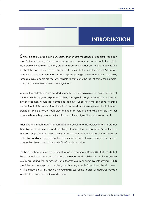### **INTRODUCTION**

 $\mathbf C$ rime is a social problem in our society that affects thousands of people's lives each year. Serious crimes against persons and properties generate considerable fear within the community. Crimes like theft, break-in, rape and murder are serious threats to the safety of the community. The resulting fear of crime in itself can restrict people's freedom of movement and prevent them from fully participating in the community. In particular, some groups of people are more vulnerable to crime and the fear of crime, for example, older people, women, parents, teenagers, etc.

Many different strategies are needed to combat the complex issues of crime and fear of crime. A whole range of responses involving strategies in design, community action and law enforcement would be required to achieve successfully the objective of crime prevention. In this connection, there is widespread acknowledgement that planners, architects and developers can play an important role in enhancing the safety of our communities as they have a major influence in the design of the built environment.

Traditionally, the community has turned to the police and the judicial system to protect them by deterring criminals and punishing offenders. The general public's indifference towards self-protection arises mainly from the lack of knowledge of the means of protection, and perhaps a perception that somebody else - the government or insurance companies - bears most of the cost of theft and vandalism.

On the other hand, Crime Prevention Through Environmental Design (CPTED) asserts that the community, homeowners, planners, developers and architects can play a greater role in protecting the community and themselves from crime by integrating CPTED principles and concepts into the design and management of the physical environment. In this connection, CPTED may be viewed as a subset of the total set of measures required for effective crime prevention and control.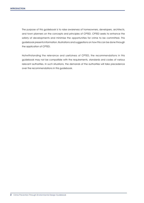The purpose of this guidebook is to raise awareness of homeowners, developers, architects, and town planners on the concepts and principles of CPTED. CPTED seeks to enhance the safety of developments and minimise the opportunities for crime to be committed. This guidebook presents information, illustrations and suggestions on how this can be done through the application of CPTED.

Notwithstanding the relevance and usefulness of CPTED, the recommendations in this guidebook may not be compatible with the requirements, standards and codes of various relevant authorities. In such situations, the demands of the authorities will take precedence over the recommendations in this guidebook.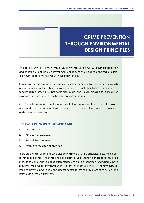### **CRIME PREVENTION THROUGH ENVIRONMENTAL DESIGN PRINCIPLES**

**T**he basis of Crime Prevention Through Environmental Design (CPTED) is that proper design and effective use of the built environment can reduce the incidence and fear of crime. This in turn leads to improvements in the quality of life.

In contrast to the approach of addressing crime concerns by implementing visually affronting security or target hardening measures such as locks, hard barriers, security gates, security patrols, etc., CPTED promotes high quality and visually pleasing solutions as first responses that aim to enhance the legitimate use of space.

CPTED can be applied without interfering with the normal use of the space. It is easy to apply and can be economical to implement, especially if it is done early at the planning and design stages of a project.

#### **THE FOUR PRINCIPLES OF CPTED ARE:**

- **Q** Natural surveillance
- D Natural access control
- Territorial reinforcement
- **Q** Maintenance and management

There are strong overlaps and synergies among the four CPTED principles. These have been identified separately for convenience and clarity of understanding. In practice, it may be useful to see all four principles as different facets of a single technique for dealing with the security of the physical environment. In respect to the first two principles, the term 'natural' refers to deriving surveillance and access control results as a by-product of normal and routine use of the environment.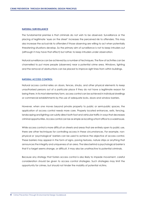#### **NATURAL SURVEILLANCE**

The fundamental premise is that criminals do not wish to be observed. Surveillance or the placing of legitimate 'eyes on the street' increases the perceived risk to offenders. This may also increase the actual risk to offenders if those observing are willing to act when potentially threatening situations develop. So the primary aim of surveillance is not to keep intruders out (although it may have that effect) but rather, to keep intruders under observation.

Natural surveillance can be achieved by a number of techniques. The flow of activities can be channelled to put more people (observers) near a potential crime area. Windows, lighting and the removal of obstructions can be placed to improve sight lines from within buildings.

#### **NATURAL ACCESS CONTROL**

Natural access control relies on doors, fences, shrubs, and other physical elements to keep unauthorised persons out of a particular place if they do not have a legitimate reason for being there. In its most elementary form, access control can be achieved in individual dwellings or commercial establishments by the use of adequate locks, doors and window barriers.

However, when one moves beyond private property to public or semi-public spaces, the application of access control needs more care. Properly located entrances, exits, fencing, landscaping and lighting can subtly direct both foot and vehicular traffic in ways that decreases criminal opportunities. Access control can be as simple as locating a front office to a warehouse.

While access control is more difficult on streets and areas that are entirely open to public use, there are other techniques for controlling access in these circumstances. For example, nonphysical or 'psychological' barriers can be used to achieve the objective of access control. These barriers may appear in the form of signs, paving textures, nature strips or anything that announces the integrity and uniqueness of an area. The idea behind a psychological barrier is that if a target seems strange, or difficult, it may also be unattractive to potential criminals.

Because any strategy that fosters access control is also likely to impede movement, careful consideration should be given to access control strategies. Such strategies may limit the opportunity for crimes, but should not hinder the mobility of potential victims.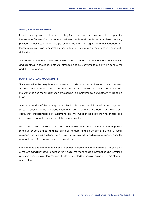#### **TERRITORIAL REINFORCEMENT**

People naturally protect a territory that they feel is their own, and have a certain respect for the territory of others. Clear boundaries between public and private areas achieved by using physical elements such as fences, pavement treatment, art, signs, good maintenance and landscaping are ways to express ownership. Identifying intruders is much easier in such welldefined spaces.

Territorial reinforcement can be seen to work when a space, by its clear legibility, transparency, and directness, discourages potential offenders because of users' familiarity with each other and the surroundings.

#### **MAINTENANCE AND MANAGEMENT**

This is related to the neighbourhood's sense of 'pride of place' and territorial reinforcement. The more dilapidated an area, the more likely it is to attract unwanted activities. The maintenance and the 'image' of an area can have a major impact on whether it will become targeted.

Another extension of the concept is that territorial concern, social cohesion and a general sense of security can be reinforced through the development of the identity and image of a community. This approach can improve not only the image of the population has of itself, and its domain, but also the projection of that image to others.

With clear spatial definitions such as the subdivision of space into different degrees of public/ semi-public/ private areas and the raising of standards and expectations, the level of social estrangement would decline. This is known to be related to reduction in opportunities for aberrant or criminal behaviour, such as vandalism.

Maintenance and management need to be considered at the design stage, as the selection of materials and finishes will impact on the types of maintenance regimes that can be sustained over time. For example, plant material should be selected for its size at maturity to avoid blocking of sight lines.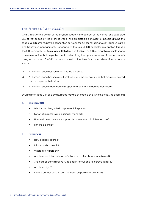#### **THE "THREE D" APPROACH**

CPTED involves the design of the physical space in the context of the normal and expected use of that space by the users as well as the predictable behaviour of people around the space. CPTED emphasises the connection between the functional objectives of space utilisation and behaviour management. Conceptually, the four CPTED principles are applied through the 3-D approach, i.e. **Designation**, **Definition** and **Design**. The 3-D approach is a simple space assessment guide that helps the user in determining the appropriateness of how a space is designed and used. The 3-D concept is based on the three functions or dimensions of human space:

- $\Box$  All human space has some designated purpose.
- All human space has social, cultural, legal or physical definitions that prescribe desired and acceptable behaviours.
- All human space is designed to support and control the desired behaviours.

By using the "Three D's" as a guide, space may be evaluated by asking the following questions:

#### **1. DESIGNATION**

- What is the designated purpose of this space?
- For what purpose was it originally intended?
- How well does the space support its current use or its intended use?
- Is there a conflict?

#### **2. DEFINITION**

- How is space defined?
- Is it clear who owns it?
- Where are its borders?
- Are there social or cultural definitions that affect how space is used?
- Are legal or administrative rules clearly set out and reinforced in policy?
- Are there signs?
- Is there conflict or confusion between purpose and definition?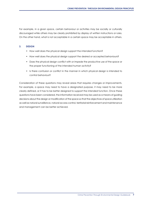For example, in a given space, certain behaviour or activities may be socially or culturally discouraged while others may be clearly prohibited by display of written instructions or rules. On the other hand, what is not acceptable in a certain space may be acceptable in others.

#### **3. DESIGN**

- How well does the physical design support the intended function?
- How well does the physical design support the desired or accepted behaviours?
- Does the physical design conflict with or impede the productive use of the space or the proper functioning of the intended human activity?
- Is there confusion or conflict in the manner in which physical design is intended to control behaviour?

Consideration of these questions may reveal areas that requires changes or improvements. For example, a space may need to have a designated purpose, it may need to be more clearly defined, or it has to be better designed to support the intended function. Once these questions have been considered, the information received may be used as a means of guiding decisions about the design or modification of the space so that the objectives of space utilization as well as natural surveillance, natural access control, territorial reinforcement and maintenance and management can be better achieved. CRIME PREVENTION THROUGH ENVIRONMENTAL DESIGN PRINCIPLES<br>
that cardin space may be socially or culturally<br>
in a certain space may be acceptable in others.<br>
support the intended function?<br>
support the desired or accepted be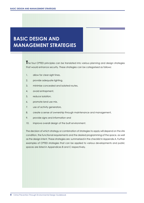## **BASIC DESIGN AND MANAGEMENT STRATEGIES**

**T**he four CPTED principles can be translated into various planning and design strategies that would enhance security. These strategies can be categorised as follows:

- 1. allow for clear sight lines,
- 2. provide adequate lighting,
- 3. minimise concealed and isolated routes,
- 4. avoid entrapment,
- 5. reduce isolation,
- 6. promote land use mix,
- 7. use of activity generators,
- 8. create a sense of ownership through maintenance and management,
- 9. provide signs and information and
- 10. improve overall design of the built environment.

The decision of which strategy or combination of strategies to apply will depend on the site condition, the functional requirements and the desired programming of the space, as well as the design intent. These strategies are summarised in the checklist in Appendix A. Further examples of CPTED strategies that can be applied to various developments and public spaces are listed in Appendices B and C respectively.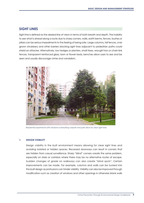Sight line is defined as the desired line of vision in terms of both breath and depth. The inability to see what is ahead along a route due to sharp corners, walls, earth berms, fences, bushes or pillars can be serious impediments to the feeling of being safe. Large columns, tall fences, over grown shrubbery and other barriers blocking sight lines adjacent to pedestrian paths could shield an attacker. Alternatively, low hedges or planters, small trees, wrought iron or chain-link fences, transparent reinforced glass, lawn or flower beds, benches allow users to see and be seen and usually discourage crime and vandalism.



*Residential apartments with windows overlooking carpark and park allow for clear sight lines*

#### **1. DESIGN VISIBILITY**

Design visibility in the built environment means allowing for clear sight lines and avoiding isolated or hidden spaces. Recessed doorways can result in corners that are hidden from casual surveillance. Sharp "blind" corners create the same problem, especially on stairs or corridors where there may be no alternative routes of escape. Sudden changes of grade on walkways can also create "blind spots". Certain improvements can be made. For example, columns and walls can be tucked into the built design as protrusions can hinder visibility. Visibility can also be improved through modification such as creation of windows and other openings in otherwise blank walls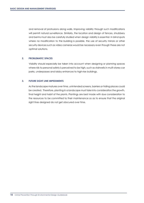and removal of protrusions along walls. Improving visibility through such modifications will permit natural surveillance. Similarly, the location and design of fences, shrubbery and berms must also be carefully studied when design visibility is essential. In blind spots where no modification to the building is possible, the use of security mirrors or other security devices such as video cameras would be necessary even though these are not optimal solutions. **EASIC DESIGN AND MANAGEMENT STRATEGIES**<br>
and termoval of profits will permit include survey<br>
and berms must also be<br>
where no modification<br>
security devices such as<br>
optimal solutions.<br>
2. **PROBLEMATIC SPACES**<br>
Visibility

#### **2. PROBLEMATIC SPACES**

Visibility should especially be taken into account when designing or planning spaces where risk to personal safety is perceived to be high, such as stairwells in multi-storey car parks, underpasses and lobby entrances to high-rise buildings.

#### **3. FUTURE SIGHT LINE IMPEDIMENTS**

As the landscape matures over time, unintended screens, barriers or hiding places could be created. Therefore, planting in a landscape must take into consideration the growth, final height and habit of the plants. Plantings are best made with due consideration to the resources to be committed to their maintenance so as to ensure that the original sight lines designed do not get obscured over time.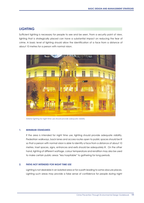#### **LIGHTING**

Sufficient lighting is necessary for people to see and be seen. From a security point of view, lighting that is strategically placed can have a substantial impact on reducing the fear of crime. A basic level of lighting should allow the identification of a face from a distance of about 10 metres for a person with normal vision.



*Exterior lighting for night time use should provide adequate visibility*

1. MINIMUM STANDARDS<br>
If the area is intended for night time use, lighting should provide adequate visibility.<br>
Pedstrian walkways, back lanes and access routes open to public spaces should be lift<br>
so that a person with n If the area is intended for night time use, lighting should provide adequate visibility. Pedestrian walkways, back lanes and access routes open to public spaces should be lit so that a person with normal vision is able to identify a face from a distance of about 10 metres. Inset spaces, signs, entrances and exits should be adequately lit. On the other hand, lighting of different wattage, colour temperature and rendition may also be used to make certain public areas "less hospitable" to gathering for long periods.

#### **2. PATHS NOT INTENDED FOR NIGHT TIME USE**

Lighting is not desirable in an isolated area or for a path leading to some obscure places. Lighting such areas may provide a false sense of confidence for people during night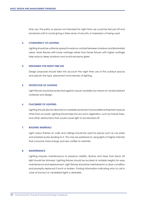time use. The paths or spaces not intended for night time use could be fenced off and remained unlit to avoid giving a false sense of security or impression of being used.

#### **3. CONSISTENCY OF LIGHTING**

Lighting should be uniformly spread to reduce contrast between shadows and illuminated areas. More fixtures with lower wattage rather than fewer fixtures with higher wattage help reduce deep shadows and avoid excessive glare.

#### **4. DESIGNING FOR NIGHT TIME USE**

Design proposals should take into account the night time use of the outdoor spaces and specify the type, placement and intensity of lighting.

#### **5. PROTECTION OF LIGHTING**

Light fixtures should be protected against casual vandalism by means of vandal resistant materials and design.

#### **6. PLACEMENT OF LIGHTING**

Lighting should also be directed on roadside pavement and possible entrapment spaces other than on roads. Lighting should take into account vegetation, such as mature trees, and other obstructions that would cause light to be blocked off.

#### **7. BUILDING MATERIALS**

Light colour finishes on walls and ceilings should be used for places such as car parks and isolated routes leading to it. This may be preferred to using lights of higher intensity that consume more energy and are costlier to maintain.

#### **8. MAINTENANCE**

Lighting requires maintenance to preserve visibility. Bushes and trees that block off light should be trimmed. Lighting fixtures should be located at suitable heights for easy maintenance and replacement. Light fixtures should be maintained in a clean condition and promptly replaced if burnt or broken. Posting information indicating who to call in case of burnout or vandalised lights is desirable. **EXAMPLE 12 DESIGN AND MANAGEMENT STRATEGIES**<br>
12 Time use. The paths or spermanined unit to avoid 4<br>
12 CONSISTENCY OF LIGHTII<br>
12 Lighting should be uniform<br>
12 Lighting should be uniform<br>
12 DESIGNING FOR NIGHT TI<br>
12 D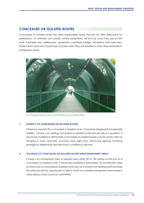#### **CONCEALED OR ISOLATED ROUTES**

Concealed or isolated routes are often predictable routes that do not offer alternative for pedestrians. An attacker can predict where pedestrians will end up once they are on the path. Examples are underpasses, pedestrian overhead bridges, escalators and staircases. Predictable routes are of particular concern when they are isolated or when they terminate in entrapment areas.



*See through fencing covering a predictable route provides visibility*

If there is a need for the concealed or isolated route, it should be designed to incorporate visibility. If there is an existing concealed or isolated route and security is in question, it should be modified or eliminated. Concealed or isolated routes can be made safer by bringing in more activities, ensuring clear sight lines, improving lighting, installing emergency telephones and electronic surveillance devices.

#### **2. LOCATION OF CONCEALED OR ISOLATED ROUTES NEAR ENTRAPMENT AREAS**

1. VISIBILITY OF CONCEALED OR ISOLATED ROUTES<br>
If there is a need for the concealed orisolated roube, it should be designed to incorporate<br>
visibility. If there is an existing concealed or isolated roube and security is in If there is an entrapment area or isolated area within 50 to 100 metres of the end of a concealed or isolated route, it should be modified or eliminated. An entrapment area located near a concealed or isolated route such as a tunnel or an isolated path provides the attacker with an opportunity to take a victim to a nearby entrapment area where a more serious crime could be committed.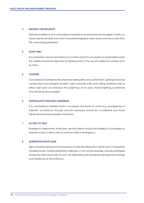#### **3. NATURAL SURVEILLANCE**

Natural surveillance of a concealed or isolated route should be encouraged. A stair or a ramp may be located such that it has external glazed/ open areas and has a view from the surrounding properties.

#### **4. SIGHT LINES**

If a pedestrian cannot see what is on or at the end of a concealed or predictable route, the visibility should be improved by lighting and/ or the use of a reflective surface such as mirror.

#### **5. LIGHTING**

Concealed or isolated routes should be adequately and uniformly lit. Lighting should be vandal proof and properly located. Light coloured walls and ceiling materials help to reflect light and can enhance the brightness of an area. Natural lighting is preferred and should be encouraged. **14BASIC DESIGN AND MANAGEMENT STRATEGIES**<br>
14BASIC DESIGN AND MANAGEMENT STRATEGIES<br>
14BASIC MITH THES<br>
14BASIC MITH INTES<br>
14BASIC MITH INTES<br>
14BASIC MITH INTES<br>
14BASIC MITH INTES<br>
14BASIC MITH THES<br>
14BASIC MITH THES<br>

#### **6. SURVEILLANCE THROUGH HARDWARE**

If a concealed or isolated route is enclosed and prone to crime e.g. passageway or stairwell, surveillance through security hardware should be considered and these hardware should be properly monitored.

#### **7. ACCESS TO HELP**

Emergency telephones, intercoms, security alarms should be installed to concealed or isolated routes to allow users to summon help in emergency.

#### **8. ALTERNATIVE ROUTE SIGN**

Signs should be placed at the entrance to indicate alternative well-lit and/ or frequently travelled routes. Certain pedestrian walkways, in the city for example, may be preferable during day time hours only. As such, an alternate route should be indicated for evenings and weekends at the entrance.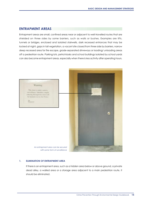#### **ENTRAPMENT AREAS**

Entrapment areas are small, confined areas near or adjacent to well-travelled routes that are shielded on three sides by some barriers, such as walls or bushes. Examples are lifts, tunnels or bridges, enclosed and isolated stairwells, dark recessed entrances that may be locked at night, gaps in tall vegetation, a vacant site closed from three side by barriers, narrow deep recessed area for fire escape, grade-separated driveways or loading/ unloading areas off a pedestrian route. Parking lots, petrol kiosks and school buildings isolated by school yards can also become entrapment areas, especially when there is less activity after operating hours.



#### **1. ELIMINATION OF ENTRAPMENT AREA**

If there is an entrapment area, such as a hidden area below or above ground, a private dead alley, a walled area or a storage area adjacent to a main pedestrian route, it should be eliminated.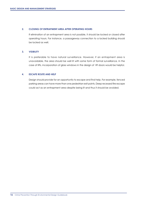#### **2. CLOSING OF ENTRAPMENT AREA AFTER OPERATING HOURS**

If elimination of an entrapment area is not possible, it should be locked or closed after operating hours. For instance, a passageway connection to a locked building should be locked as well.

#### **3. VISIBILITY**

It is preferable to have natural surveillance. However, if an entrapment area is unavoidable, the area should be well lit with some form of formal surveillance. In the case of lifts, incorporation of glass windows in the design of lift doors would be helpful. **EXECTS AND MANAGEMENT STRATEGIES**<br>
16 GENTRATMENT IF GENTRATMENT OPERATING OPERATING OPERATING POOR STRATEGIES<br>
16 GENTRATING THE DESIGN AND HELP<br>
16 DESCAPE ROUTE AND HELP<br>
16 DESCAPE ROUTE AND HELP<br>
16 DESCAPE ROUTE AND

#### **4. ESCAPE ROUTE AND HELP**

Design should provide for an opportunity to escape and find help. For example, fenced parking areas can have more than one pedestrian exit points. Deep recessed fire escape could act as an entrapment area despite being lit and thus it should be avoided.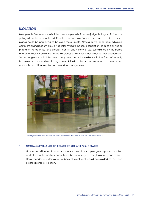#### **ISOLATION**

Most people feel insecure in isolated areas especially if people judge that signs of distress or yelling will not be seen or heard. People may shy away from isolated areas and in turn such places could be perceived to be even more unsafe. Natural surveillance from adjoining commercial and residential buildings helps mitigate the sense of isolation, as does planning or programming activities for a greater intensity and variety of use. Surveillance by the police and other security personnel to see all places at all times is not practical, nor economical. Some dangerous or isolated areas may need formal surveillance in the form of security hardware, i.e. audio and monitoring systems. Aside from its cost, the hardware must be watched efficiently and attentively by staff trained for emergencies.



*Banking facilities can be located near pedestrian activities to reduce sense of isolation*

#### **1. NATURAL SURVEILLANCE OF ISOLATED ROUTES AND PUBLIC SPACES**

Natural surveillance of public spaces such as plazas, open green spaces, isolated pedestrian routes and car parks should be encouraged through planning and design. Blank facades or buildings set far back at street level should be avoided as they can create a sense of isolation.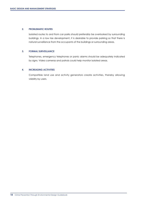#### **2. PROBLEMATIC ROUTES**

Isolated routes to and from car parks should preferably be overlooked by surrounding buildings. In a low rise development, it is desirable to provide parking so that there is natural surveillance from the occupants of the buildings or surrounding areas. **EXECTS AND MANAGEMENT STRATEGIES**<br>
18BASIC DESIGNATIC ROUTES<br>
19BASIC ISON ISONET ISONET ISONET AND MANAGEMENT CONTINUES<br>
19 TORMAL SURVEILLANCE<br>
Telephones, emergency<br>
by signs. Video comments<br>
19 MACREASING ACTIVITIES<br>

#### **3. FORMAL SURVEILLANCE**

Telephones, emergency telephones or panic alarms should be adequately indicated by signs. Video cameras and patrols could help monitor isolated areas.

#### **4. INCREASING ACTIVITIES**

Compatible land use and activity generators create activities, thereby allowing visibility by users.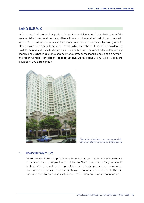#### **LAND USE MIX**

A balanced land use mix is important for environmental, economic, aesthetic and safety reasons. Mixed uses must be compatible with one another and with what the community needs. For a residential development, a number of uses can be included by having a main street, a town square or park, prominent civic buildings and above all the ability of residents to walk to the place of work, to day care centres and to shops. The social value of frequenting local businesses provides a sense of security and safety as the local business people "watch" the street. Generally, any design concept that encourages a land use mix will provide more interaction and a safer place.



*Compatible mixed uses can encourage activity, natural surveillance and contact among people*

**1. COMPATIBLE MIXED USES**<br>
Mixed uses should be compatible in order to encourage activity, natural surveillance<br>
and contact among people throughout the day. The first purpose in mixing uses should<br>
be to provide adequa Mixed uses should be compatible in order to encourage activity, natural surveillance and contact among people throughout the day. The first purpose in mixing uses should be to provide adequate and appropriate services to the primary users of an area. Examples include convenience retail shops, personal service shops and offices in primarily residential areas, especially if they provide local employment opportunities.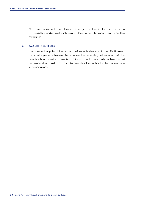Childcare centres, health and fitness clubs and grocery stores in office areas including the possibility of adding residential uses at a later date, are other examples of compatible mixed uses.

#### **2. BALANCING LAND USES**

Land uses such as pubs, clubs and bars are inevitable elements of urban life. However, they can be perceived as negative or undesirable depending on their locations in the neighbourhood. In order to minimise their impacts on the community, such uses should be balanced with positive measures by carefully selecting their locations in relation to surrounding uses. BASIC DESIGN AND MANAGEMENT STRATEGIES<br>
20 Childcare centres, healt<br>
the possibility of adding r<br>
mixed uses<br>
20 BALANCING LAND USES<br>
Land uses such as pubs,<br>
they can be perceived a<br>
neighbourhood. In order<br>
be balanced w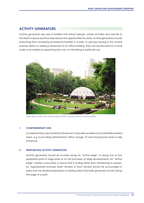### **ACTIVITY GENERATORS**

Activity generators are uses or facilities that attract people, create activities and add life to the street or space and thus help reduce the opportunities for crime. Activity generators include everything from increasing recreational facilities in a park, to placing housing in the central business district or adding a restaurant to an office building. They can be provided on a small scale or be added as supporting land use, or intensifying a particular use.



#### **1. COMPLEMENTARY USES**

Complementary uses should be introduced, to provide surveillance to potentially isolated areas, e.g. by locating administration office, lounge, TV room facing back lanes or side entrances.

#### **2. REINFORCING ACTIVITY GENERATORS**

Activity generators should be located along an "active edge" or along one or two pedestrian paths in large parks or on the boundary of large developments. An "active edge" creates a boundary of space that is inviting rather than threatening to passersby. Appropriately licensed street vendors or food vendors should be encouraged in parks and the sensitive placement of seating areas informally generates activity along the edge of a path. **2**<br>
20<br>
20 **20 PMPLEMENTARY USES**<br> **22**<br> **22 Complementary uses should be introduced, to provide surveillance to potentially isolated<br>
22 <b>APS Complementary uses should be introduced, to provide surveillance to potentia**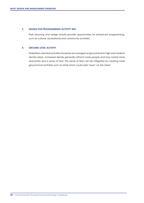#### **3. DESIGN FOR PROGRAMMING ACTIVITY MIX**

Park planning and design should provide opportunities for enhanced programming, such as cultural, recreational and community activities.

#### **4. GROUND-LEVEL ACTIVITY**

Pedestrian oriented activities should be encouraged at ground level in high and medium density areas. Increased density generally attracts more people and may create more anonymity and a sense of fear. This sense of fear can be mitigated by creating more ground level activities such as retail which could add "eyes" on the street. **22 Crime Prevention Through Environmental Designal Control Crime Prevention (SROUND-LEVEL ACTIVITY)<br>24. GROUND-LEVEL ACTIVITY<br>24. GROUND-LEVEL ACTIVITY<br>24. GROUND-LEVEL ACTIVITY<br>24. Crime Prevention Through Environmental**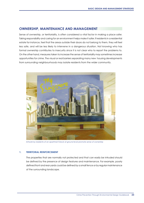#### **OWNERSHIP, MAINTENANCE AND MANAGEMENT**

Sense of ownership, or territoriality, is often considered a vital factor in making a place safer. Taking responsibility and caring for an environment helps make it safer. If residents in a residential estate for instance, feel that the areas outside their doors do not belong to them, they will feel less safe, and will be less likely to intervene in a dangerous situation. Not knowing who has formal ownership contributes to insecurity since it is not clear who to report the problems to. On the other hand, measures taken to increase the sense of territoriality may sometimes increase opportunities for crime. The visual or real barriers separating many new housing developments from surrounding neighbourhoods may isolate residents from the wider community.



#### **1. TERRITORIAL REINFORCEMENT**

The properties that are normally not protected and that can easily be intruded should be defined by the presence of design features and maintenance. For example, poorly defined front and rear yards could be defined by a small fence or by regular maintenance of the surrounding landscape. Artwork by residents of an apartment block at ground level promote sense of ownership<br>**TERRITORIAL REINFORCEMENT**<br>The properties that are normally not protected and that can easily be intruded should<br>be defined by the pres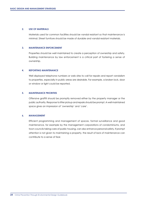#### **2. USE OF MATERIALS**

Materials used for common facilities should be vandal resistant so that maintenance is minimal. Street furniture should be made of durable and vandal resistant materials.

#### **3. MAINTENANCE ENFORCEMENT**

Properties should be well maintained to create a perception of ownership and safety. Building maintenance by law enforcement is a critical part of fostering a sense of ownership.

#### **4. REPORTING MAINTENANCE**

Well displayed telephone numbers or web sites to call for repairs and report vandalism to properties, especially in public areas are desirable. For example, a broken lock, door or window or light could be reported.

#### **5. MAINTENANCE PRIORITIES**

Offensive graffiti should be promptly removed either by the property manager or the public authority. Response to litter pickup and repairs should be prompt. A well maintained space gives an impression of 'ownership' and 'care'.

#### **6. MANAGEMENT**

Efficient programming and management of spaces, formal surveillance and good maintenance, for example by the management corporations of condominiums, and town councils taking care of public housing, can also enhance personal safety. If prompt attention is not given to maintaining a property, the result of lack of maintenance can contribute to a sense of fear. **24BASIC DESIGN AND MANAGEMENT STRATEGIES**<br>
22 USE OF MATERIALS<br>
Materials used for comm<br>
minimal. Street furniture<br>
23 MAINTENANCE ENFORCE<br>
Properties should be well<br>
Building maintenance b<br>
24 Well displayed telephon<br>
to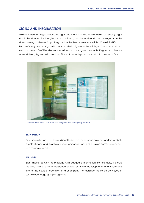### **SIGNS AND INFORMATION**

Well designed, strategically located signs and maps contribute to a feeling of security. Signs should be standardised to give clear, consistent, concise and readable messages from the street. Having addresses lit up at night will make them even more visible. Where it is difficult to find one's way around; signs with maps may help. Signs must be visible, easily understood and well maintained. Graffiti and other vandalism can make signs unreadable. If signs are in disrepair or vandalised, it gives an impression of lack of ownership and thus adds to a sense of fear.



*Maps and directories should be well designed and strategically located*

#### **1. SIGN DESIGN**

Signs should be large, legible and identifiable. The use of strong colours, standard symbols, simple shapes and graphics is recommended for signs of washrooms, telephones, information and help.

#### **2 MESSAGE**

Signs should convey the message with adequate information. For example, it should indicate where to go for assistance or help, or where the telephones and washrooms are, or the hours of operation of a underpass. The message should be conveyed in suitable language(s) or pictographs.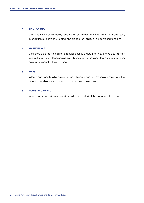#### **3. SIGN LOCATION**

Signs should be strategically located at entrances and near activity nodes (e.g., intersections of corridors or paths) and placed for visibility at an appropriate height.

#### **4. MAINTENANCE**

Signs should be maintained on a regular basis to ensure that they are visible. This may involve trimming any landscaping growth or cleaning the sign. Clear signs in a car park help users to identify their location. **26 DESIGN AND MANAGEMENT STRATEGIES**<br> **26 SIGN LOCATION**<br> **26 SIGN LOCATION**<br> **26 MAINTENANCE**<br> **26 MAINTENANCE**<br> **26 Signs should be maintain**<br>
thelp users to identify the<br> **26 Signs Strategy Proper Strategy And Building** 

#### **5. MAPS**

In large parks and buildings, maps or leaflets containing information appropriate to the different needs of various groups of users should be available.

#### **6. HOURS OF OPERATION**

Where and when exits are closed should be indicated at the entrance of a route.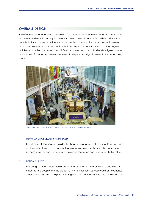### **OVERALL DESIGN**

The design and management of the environment influences human behaviour. A barren, sterile place surrounded with security hardware will reinforce a climate of fear, while a vibrant and beautiful place conveys confidence and care. Both the functional and aesthetic values of public and semi-public spaces contribute to a sense of safety. In particular, the degree to which users can find their way around influences the sense of security. Good design reinforces natural use of space and lessens the need to depend on signs in order to find one's way around.



*Good functional and aesthetic design can contribute to a sense of safety*

#### **1 IMPORTANCE OF QUALITY AND BEAUTY**

The design of the space, besides fulfilling functional objectives, should create an aesthetically pleasing environment that a person can enjoy. The security aspects should be considered as part and parcel of designing the space and fulfilling aesthetic values.

#### **2. DESIGN CLARITY**

The design of the space should be easy to understand. The entrances and exits, the places to find people and the places to find services such as washrooms or telephones should be easy to find for a person visiting the place for the first time. The more complex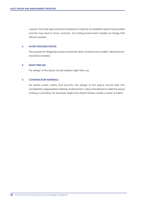a space, the more signs and other measures to improve accessibility need to be provided and this may lead to more confusion. An inviting environment creates an image that attracts people.

#### **3. AVOID UNUSABLE SPACES**

The purpose for designing a space should be clear. Unused and unusable "dead spaces" should be avoided.

#### **4. NIGHT TIME USE**

The design of the space should address night time use.

#### **5 CONSTRUCTION MATERIALS**

For better public safety and security, the design of the space should take into consideration appropriate materials, its placement, colour and texture to make the space inviting or uninviting. For example: bright and vibrant finishes create a sense of safety.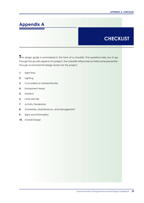### **Appendix A**

### **CHECKLIST**

**T**he design guide is summarised in the form of a checklist. The questions help you to go through the security aspects of a project. The checklist will provide an initial crime prevention through environmental design review for the project.

- **1.** Sight lines
- **2.** Lighting
- **3.** Concealed or Isolated Routes
- **4.** Entrapment Areas
- **5.** Isolation
- **6.** Land Use Mix
- **7.** Activity Generators
- **8.** Ownership, Maintenance, and Management
- **9.** Signs and Information
- **10.** Overall Design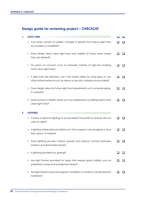### **Design guide for reviewing project – CHECKLIST**

| 1. | <b>SIGHT LINES</b>                                                                                                                                   | Yes No |  |
|----|------------------------------------------------------------------------------------------------------------------------------------------------------|--------|--|
|    | Can sharp corners or sudden changes in grades that reduce sight lines<br>٠<br>be avoided or modified?                                                |        |  |
|    | Does design allow clear sight lines and visibility at those areas where<br>٠<br>they are desired?                                                    |        |  |
|    | Do areas of concerns such as stairwells, lobbies of high-rise building<br>٠<br>have clear sight lines?                                               |        |  |
|    | If sight lines are blocked, can it be made visible by using glass or can<br>٠<br>other enhancements such as mirrors or security cameras be provided? |        |  |
|    | Does design allow for future sight line impediments such as landscaping<br>٠<br>in maturity?                                                         |        |  |
|    | Does access to hidden areas such as underpasses or parking areas have<br>٠<br>clear sight lines?                                                     |        |  |
| 2. | <b>LIGHTING</b>                                                                                                                                      |        |  |
|    | Is there a need for lighting to be provided if the paths or spaces are not<br>٠<br>used at night?                                                    |        |  |
|    | Is lighting adequately provided such that a person can recognise a face<br>٠<br>from about 10 metres?                                                |        |  |
|    | Does lighting provide uniform spread and reduce contrast between<br>shadow and illuminated areas?                                                    |        |  |
|    | Is lighting provided too glaring?<br>٠                                                                                                               |        |  |
|    | Are light fixtures provided for areas that require good visibility such as<br>٠<br>pedestrian routes and entrapment areas?                           |        |  |
|    | Are light fixtures protected against vandalism or made of vandal resistant<br>materials?                                                             |        |  |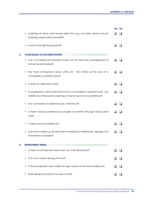|    |                                                                                                                                                        | Yes No |  |
|----|--------------------------------------------------------------------------------------------------------------------------------------------------------|--------|--|
|    | Is lighting at areas used during night time e.g. car parks, space around<br>٠<br>buildings adequately provided?                                        |        |  |
|    | Is back lane lighting required?                                                                                                                        |        |  |
| 3. | <b>CONCEALED OR ISOLATED ROUTES</b>                                                                                                                    |        |  |
|    | Can concealed and isolated routes such as staircases, passageways or<br>tunnels be eliminated?                                                         |        |  |
|    | Are there entrapment areas within 50 - 100 metres at the end of a<br>concealed or isolated route?                                                      |        |  |
|    | Is there an alternate route?<br>٠                                                                                                                      |        |  |
|    | If a pedestrian cannot see the end of a concealed or isolated route, can<br>٠<br>visibility be enhanced by lighting or improving natural surveillance? |        |  |
|    | Are concealed or isolated routes uniformly lit?                                                                                                        |        |  |
|    | Is there natural surveillance by people or activities through various land<br>uses?                                                                    |        |  |
|    | Is there formal surveillance?                                                                                                                          |        |  |
|    | Is access to help e.g. security alarm, emergency telephones, signage and<br>٠<br>information available?                                                |        |  |
| 4. | <b>ENTRAPMENT AREAS</b>                                                                                                                                |        |  |
|    | Is there an entrapment area and can it be eliminated?                                                                                                  |        |  |
|    | Can it be closed during off hours?                                                                                                                     |        |  |
|    | Is the entrapment area visible through natural or formal surveillance?                                                                                 |        |  |
|    | Does design provide for escape routes?                                                                                                                 |        |  |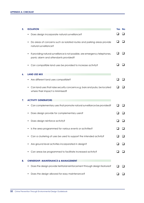| 5. | <b>ISOLATION</b>                                                                                                          | Yes No |  |
|----|---------------------------------------------------------------------------------------------------------------------------|--------|--|
|    | Does design incorporate natural surveillance?                                                                             |        |  |
|    | Do areas of concerns such as isolated routes and parking areas provide<br>٠<br>natural surveillance?                      |        |  |
|    | If providing natural surveillance is not possible, are emergency telephones,<br>٠<br>panic alarm and attendants provided? |        |  |
|    | Can compatible land uses be provided to increase activity?                                                                |        |  |
| 6. | <b>LAND USE MIX</b>                                                                                                       |        |  |
|    | Are different land uses compatible?                                                                                       |        |  |
|    | Can land uses that raise security concerns e.g. bars and pubs, be located<br>where their impact is minimised?             |        |  |
| 7. | <b>ACTIVITY GENERATORS</b>                                                                                                |        |  |
|    | Can complementary uses that promote natural surveillance be provided?                                                     |        |  |
|    | Does design provide for complementary users?                                                                              |        |  |
|    | Does design reinforce activity?                                                                                           |        |  |
|    | Is the area programmed for various events or activities?                                                                  |        |  |
|    | Can a clustering of uses be used to support the intended activity?                                                        |        |  |
|    | Are ground level activities incorporated in design?                                                                       |        |  |
|    | Can areas be programmed to facilitate increased activity?                                                                 |        |  |
| 8. | <b>OWNERSHIP, MAINTENANCE &amp; MANAGEMENT</b>                                                                            |        |  |
|    | Does the design provide territorial reinforcement through design features?                                                |        |  |
|    | Does the design allowed for easy maintenance?                                                                             |        |  |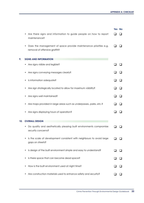|     |                                                                                                         | Yes No |  |
|-----|---------------------------------------------------------------------------------------------------------|--------|--|
|     | Are there signs and information to guide people on how to report<br>maintenance?                        |        |  |
|     | Does the management of space provide maintenance priorities e.g.<br>٠<br>removal of offensive graffiti? |        |  |
| 9.  | <b>SIGNS AND INFORMATION</b>                                                                            |        |  |
|     | Are signs visible and legible?                                                                          |        |  |
|     | Are signs conveying messages clearly?                                                                   |        |  |
|     | Is information adequate?                                                                                |        |  |
|     | Are sign strategically located to allow for maximum visibility?                                         |        |  |
|     | Are signs well maintained?                                                                              |        |  |
|     | Are maps provided in large areas such as underpasses, parks, etc.?                                      |        |  |
|     | Are signs displaying hours of operation?                                                                |        |  |
| 10. | <b>OVERALL DESIGN</b>                                                                                   |        |  |
|     | Do quality and aesthetically pleasing built environments compromise<br>security concerns?               |        |  |
|     | Is the scale of development consistent with neighbours to avoid large<br>gaps on streets?               |        |  |
|     | Is design of the built environment simple and easy to understand?<br>٠                                  |        |  |
|     | Is there space that can become dead space?                                                              |        |  |
|     | How is the built environment used at night time?                                                        |        |  |
|     | Are construction materials used to enhance safety and security?                                         |        |  |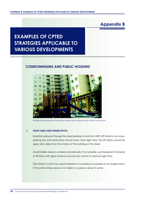### **Appendix B**

## **EXAMPLES OF CPTED STRATEGIES APPLICABLE TO VARIOUS DEVELOPMENTS**

#### **CONDOMINIUMS AND PUBLIC HOUSING**



*Residential apartments overlooking outdoor play areas provide natural surveilance*

#### **1. SIGHT LINES AND HIDDEN SPOTS**

Essential walkways through the area leading to and from MRT/ LRT stations, bus stops, parking lots and retail areas should have clear sight lines. The lift lobby should be open and visible from the interior of the building or the street.

Avoid hidden areas in corridors and stairwells. If not possible, use transparent materials or lift doors with glass windows and security mirrors to improve sight lines.

The interior of a lift may need installation of surveillance cameras or an angled mirror if the entire interior area is not visible to a person about to enter.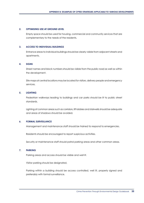#### **2. OPTIMISING USE AT GROUND LEVEL**

Empty space should be used for housing, commercial and community services that are complementary to the needs of the residents.

#### **3. ACCESS TO INDIVIDUAL BUILDINGS**

Entrance areas to individual buildings should be clearly visible from adjacent streets and apartments.

#### **4. SIGNS**

Street names and block numbers should be visible from the public road as well as within the development.

Site maps at central locations may be located for visitors, delivery people and emergency services.

#### **5. LIGHTING**

Pedestrian walkways leading to buildings and car parks should be lit to public street standards.

Lighting of common areas such as corridors, lift lobbies and stairwells should be adequate and areas of shadows should be avoided.

#### **6. FORMAL SURVEILLANCE**

Management and maintenance staff should be trained to respond to emergencies.

Residents should be encouraged to report suspicious activities.

Security or maintenance staff should patrol parking areas and other common areas.

#### **7. PARKING**

Parking areas and access should be visible and well lit.

Visitor parking should be designated.

Parking within a building should be access controlled, well lit, properly signed and preferably with formal surveillance.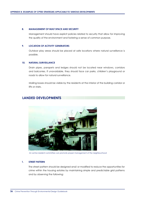#### **8. MANAGEMENT OF BUILT SPACE AND SECURITY**

Management should have explicit policies related to security that allow for improving the quality of the environment and fostering a sense of common purpose.

#### **9. LOCATION OF ACTIVITY GENERATORS**

Outdoor play areas should be placed at safe locations where natural surveillance is possible.

#### **10. NATURAL SURVEILLANCE**

Drain pipes, parapets and ledges should not be located near windows, corridors and balconies. If unavoidable, they should face car parks, children's playground or roads to allow for natural surveillance.

Mailing boxes should be visible by the residents at the interior of the building corridor or lifts or stairs.

#### **LANDED DEVELOPMENTS**



*An active resident committee can promote proper management of the neighbourhood*

#### **1. STREET PATTERN**

The street pattern should be designed and/ or modified to reduce the opportunities for crime within the housing estates by maintaining simple and predictable grid patterns and by observing the following: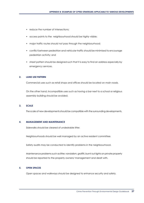- reduce the number of intersections;
- access points to the neighbourhood should be highly visible;
- major traffic routes should not pass through the neighbourhood;
- conflict between pedestrian and vehicular traffic should be minimised to encourage pedestrian activity; and
- street pattern should be designed such that it is easy to find an address especially by emergency services.

#### **2. LAND USE PATTERN**

Commercial uses such as retail shops and offices should be located on main roads.

On the other hand, incompatible uses such as having a bar next to a school or religious assembly building should be avoided.

#### **3. SCALE**

The scale of new developments should be compatible with the surrounding developments.

#### **4. MANAGEMENT AND MAINTENANCE**

Sidewalks should be cleared of undesirable litter.

Neighbourhoods should be well managed by an active resident committee.

Safety audits may be conducted to identify problems in the neighbourhood.

Maintenance problems such as litter, vandalism, graffiti, burnt out lights on private property should be reported to the property owners/ management and dealt with.

#### **5. OPEN SPACES**

Open spaces and walkways should be designed to enhance security and safety.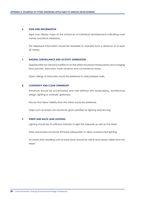#### **6. SIGN AND INFORMATION**

Signs may display maps at the entrances of individual developments indicating road names and block addresses.

This displayed information should be readable to motorists from a distance of at least 20 metres.

#### **7. NATURAL SURVEILLANCE AND ACTIVITY GENERATORS**

Opportunities for natural surveillance on the street should be introduced by encouraging front porches, balconies, more windows and convenience stores.

Open railings at balconies would be preferred to solid parapet walls.

#### **8. CONTINUITY AND CLEAR OWNERSHIP**

Entrances should be accentuated and well defined with landscaping, architectural design, lighting or symbolic gateways.

Fences that allow visibility from the street would be preferred.

Gaps such as empty lots should be given priorities for lighting and fencing.

#### **9. STREET AND BACK LANE LIGHTING**

Lighting should be of sufficient intensity to light the sidewalk as well as the street.

Trees and bushes should be trimmed adequately to allow unobstructed lighting.

Accesses from dwelling units to back lanes should be well lit and clearly visible from the street.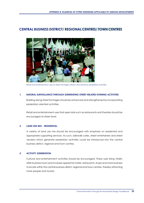#### **CENTRAL BUSINESS DISTRICT/ REGIONAL CENTRES/ TOWN CENTRES**



*Retail and entertainment uses at street frontages attract and enhance pedestrian activities*

#### **1. NATURAL SURVEILLANCE THROUGH GENERATING STREET-RELATED EVENING ACTIVITIES**

Building along street frontages should be enhanced and strengthened by incorporating pedestrian oriented activities.

Retail and entertainment uses that open late such as restaurants and theatres should be encouraged at street level.

#### **2. LAND USE MIX - RESIDENTIAL**

A variety of land use mix should be encouraged with emphasis on residential and appropriate supporting services. As such, sidewalk cafes, street entertainers and street vendors which generate pedestrian activities could be introduced into the central business district, regional and town centres.

#### **3. ACTIVITY GENERATION**

Cultural and entertainment activities should be encouraged. These uses bring vitality after business hours and increase appeal for hotels, restaurants, shops and more business to locate within the central business district, regional and town centres, thereby attracting more people and tourists.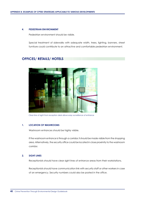#### **4. PEDESTRIAN ENVIRONMENT**

Pedestrian environment should be visible.

Special treatment of sidewalks with adequate width, trees, lighting, banners, street furniture could contribute to an attractive and comfortable pedestrian environment.

#### **OFFICES/ RETAILS/ HOTELS**



*Clear line of sight from reception desk allows easy surveillance of entrance*

#### **1. LOCATION OF WASHROOMS**

Washroom entrances should be highly visible.

If the washroom entrance is through a corridor, it should be made visible from the shopping area. Alternatively, the security office could be located in close proximity to the washroom corridor.

#### **2. SIGHT LINES**

Receptionists should have clear sight lines of entrance areas from their workstations.

Receptionists should have communication link with security staff or other workers in case of an emergency. Security numbers could also be posted in the office.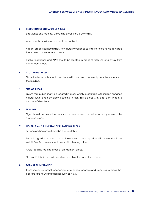#### **3. REDUCTION OF ENTRAPMENT AREAS**

Back lanes and loading/ unloading areas should be well lit.

Access to the service areas should be lockable.

Vacant properties should allow for natural surveillance so that there are no hidden spots that can act as entrapment areas.

Public telephones and ATMs should be located in areas of high use and away from entrapment areas.

#### **4. CLUSTERING OF USES**

Shops that open late should be clustered in one area, preferably near the entrance of the building.

#### **5. SITTING AREAS**

Ensure that public seating is located in areas which discourage loitering but enhance natural surveillance by placing seating in high traffic areas with clear sight lines in a number of directions.

#### **6. SIGNAGE**

Signs should be posted for washrooms, telephones, and other amenity areas in the shopping areas.

#### **7. LIGHTING AND SURVEILLANCE IN PARKING AREAS**

Surface parking area should be adequately lit.

For buildings with built-in car parks, the access to the car park and its interior should be well lit, free from entrapment areas with clear sight lines.

Avoid locating loading areas at entrapment areas.

Stairs or lift lobbies should be visible and allow for natural surveillance.

#### **8. FORMAL SURVEILLANCE**

There should be formal mechanical surveillance for areas and accesses to shops that operate late hours and facilities such as ATMs.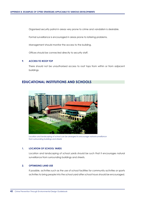Organised security patrol in areas very prone to crime and vandalism is desirable.

Formal surveillance is encouraged in areas prone to loitering problems.

Management should monitor the access to the building.

Offices should be connected directly to security staff.

#### **9. ACCESS TO ROOF TOP**

There should not be unauthorised access to roof tops from within or from adjacent buildings.

#### **EDUCATIONAL INSTITUTIONS AND SCHOOLS**



*Location and landscaping of school can be arranged to encourage natural surveillance from surrounding buildings and streets*

#### **1. LOCATION OF SCHOOL YARDS**

Location and landscaping of school yards should be such that it encourages natural surveillance from surrounding buildings and streets.

#### **2. OPTIMISING LAND USE**

If possible, activities such as the use of school facilities for community activities or sports activities to bring people into the school yard after school hours should be encouraged.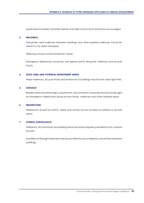Supervised recreation activities before and after school hours should be encouraged.

#### **3. WALKWAYS**

Frequently used walkways between buildings and other isolated walkways should be well lit to city street standards.

Walkways should avoid entrapment areas.

Emergency telephones should be well signed and lit along the walkways and bicycle tracks.

#### **4. SIGHT LINES AND POTENTIAL ENTRAPMENT AREAS**

Major walkways, bicycle tracks and entrances to buildings should have clear sight lines.

#### **5. SIGNAGE**

Besides other prominent signs, polytechnic and university campuses should include signs for emergency telephones along bicycle tracks, walkways and other isolated areas.

#### **6. WASHROOMS**

Washrooms should be well lit, visible and should not be located at isolated or remote areas.

#### **7. FORMAL SURVEILLANCE**

Walkways, bicycle tracks and parking areas should be regularly patrolled by the campus security.

Surveillance through hardware may be provided for any underpass connections between buildings.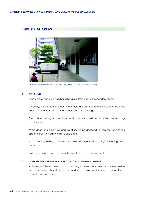#### **INDUSTRIAL AREAS**



*Neat, visible and well-lit loading/ unloading areas minimise potential for hiding*

#### **1. SIGHT LINES**

Land parcels and buildings should be visible from public or secondary roads.

Driveways should meet in areas where there are activities and orientation of buildings could be such that driveways are visible from the buildings.

The path to parking lots, bus stops and taxi stands should be visible from the buildings that they serve.

Avoid dead end driveways and street should be designed to increase surveillance opportunities from passing traffic and patrol.

Avoid creating hiding places such as alleys, storage yards, loading/ unloading areas and so on.

Parking lots should be visible from the street and well lit for night shift.

#### **2. LAND USE MIX - INTENSIFICATION OF ACTIVITY AND DEVELOPMENT**

Activities and developments that should bring in a steady stream of people to make the area less isolated should be encouraged, e.g. housing on the fringe, eating places, recreational areas etc.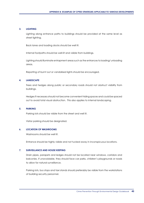#### **3. LIGHTING**

Lighting along entrance paths to buildings should be provided at the same level as street lighting.

Back lanes and loading docks should be well lit.

Internal footpaths should be well-lit and visible from buildings.

Lighting should illuminate entrapment areas such as the entrances to loading/ unloading areas.

Reporting of burnt out or vandalised lights should be encouraged.

#### **4. LANDSCAPE**

Trees and hedges along public or secondary roads should not obstruct visibility from buildings.

Hedges if necessary should not become convenient hiding spaces and could be spaced out to avoid total visual obstruction. This also applies to internal landscaping.

#### **5. PARKING**

Parking lots should be visible from the street and well lit.

Visitor parking should be designated.

#### **6. LOCATION OF WASHROOMS**

Washrooms should be well lit.

Entrance should be highly visible and not tucked away in inconspicuous locations.

#### **7. SURVEILLANCE AND HOUSE KEEPING**

Drain pipes, parapets and ledges should not be located near windows, corridors and balconies. If unavoidable, they should face car parks, children's playgrounds or roads to allow for natural surveillance.

Parking lots, bus stops and taxi stands should preferably be visible from the workstations of building security personnel.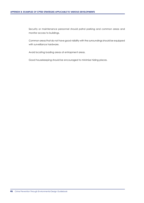Security or maintenance personnel should patrol parking and common areas and monitor access to buildings.

Common areas that do not have good visibility with the surroundings should be equipped with surveillance hardware.

Avoid locating loading areas at entrapment areas.

Good housekeeping should be encouraged to minimise hiding places.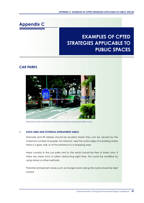### **Appendix C**

## **EXAMPLES OF CPTED STRATEGIES APPLICABLE TO PUBLIC SPACES**

### **CAR PARKS**



*Attendant booth should be located near entrances and predictable routes*

#### **1. SIGHT LINES AND POTENTIAL ENTRAPMENT AREAS**

Stairwells and lift lobbies should be located where they can be viewed by the maximum number of people, for instance, near the outer edge of a building where there is a glass wall, or at the entrance to a shopping area.

Major route(s) in the car parks and to the exit(s) should be free of sharp turns. If there are sharp turns or pillars obstructing sight lines, this could be modified by using mirrors or other methods.

Potential entrapment areas such as storage rooms along the route should be kept locked.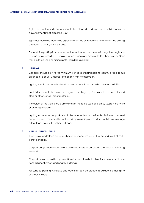Sight lines to the surface lots should be cleared of dense bush, solid fences, or advertisements that block the view.

Sight lines should be maximised especially from the entrance to a lot and from the parking attendant's booth, if there is one.

For road side parking in front of stores, low (not more than 1 metre in height) wrought iron fencing or low-growth, low maintenance bushes are preferable to other barriers. Gaps that could be used as hiding spots should be avoided.

#### **2. LIGHTING**

Car parks should be lit to the minimum standard of being able to identify a face from a distance of about 10 metres for a person with normal vision.

Lighting should be consistent and located where it can provide maximum visibility.

Light fixtures should be protected against breakage by, for example, the use of wired glass or other vandal proof materials.

The colour of the walls should allow the lighting to be used efficiently, i.e. painted white or other light colours.

Lighting at surface car parks should be adequate and uniformly distributed to avoid deep shadows. This could be achieved by providing more fixtures with lower wattage rather than fewer with higher wattage.

#### **3. NATURAL SURVEILLANCE**

Street level pedestrian activities should be incorporated at the ground level of multistorey car parks.

Car park design should incorporate permitted kiosks for car accessories and car cleaning kiosks etc.

Car park design should be open (railings instead of walls) to allow for natural surveillance from adjacent streets and nearby buildings.

For surface parking, windows and openings can be placed in adjacent buildings to overlook the lots.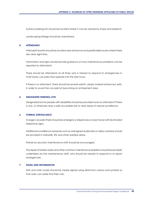Surface parking lots should be located where it can be viewed by shops and residents.

Landscaping foliage should be maintained.

#### **4. ATTENDANTS**

Attendant booths should be located near entrances and predictable routes where there are clear sight lines.

Information and signs should provide guidance on how maintenance problems can be reported to attendants.

There should be attendants at all times who is trained to respond to emergencies in multi-storey car parks that operate into the late hours.

If there is no attendant, there should be several well-lit, clearly marked entrances/ exits, in order to avoid the car park lot becoming an entrapment area.

#### **5. DESIGNATED PARKING LOTS**

Designated lots for people with disabilities should be provided near an attendant if there is one, or otherwise near a safe accessible exit or near areas of natural surveillance.

#### **6. FORMAL SURVEILLANCE**

In larger car parks there should be emergency telephones on each level with illuminated telephone signs.

Additional surveillance measures such as well signed audio links or video cameras should be provided in stairwells, lifts and other isolated areas.

Patrols by security/ maintenance staff should be encouraged.

The repair of broken bulbs and other common maintenance problems should be promptly undertaken by the maintenance staff, who should be trained to respond to or report emergencies.

#### **7. SIGNS AND INFORMATION**

Exits and main routes should be clearly signed using distinctive colours and symbols so that users can easily find their cars.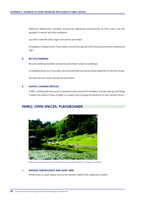Relevant telephone numbers should be displayed prominently so that users can be guided to report security problems.

Location identification signs should be provided.

Emergency telephones, if provided, should be signed with raised illuminated telephone sign.

#### **8. BICYCLE PARKING**

Bicycle parking facilities should be provided close to buildings.

In isolated areas such as parks, bicycle parking may be located adjacent to activity areas.

Secure bicycle racks should be provided.

#### **9. TRAFFIC CALMING DEVICES**

Traffic calming devices such as speed humps should be installed. Landscaping, providing it does not obstruct lines of sight, is a useful psychological influence to slow drivers down.

### **PARKS/ OPEN SPACES/ PLAYGROUNDS**



*Parks and open spaces can be planned and programmed for a range of activities*

#### **1. NATURAL SURVEILLANCE AND SIGHT LINES**

Small parks or play areas should be clearly visible from adjacent streets.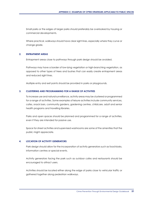Small parks or the edges of larger parks should preferably be overlooked by housing or commercial developments.

Where practical, walkways should have clear sight lines, especially where they curve or change grade.

#### **2. ENTRAPMENT AREAS**

Entrapment areas close to pathways through park design should be avoided.

Pathways may have a border of low-lying vegetation or high-branching vegetation, as opposed to other types of trees and bushes that can easily create entrapment areas and reduced sight lines.

Multiple entry and exit points should be provided in parks or playgrounds.

#### **3. CLUSTERING AND PROGRAMMING FOR A RANGE OF ACTIVITIES**

To increase use and natural surveillance, activity areas may be clustered or programmed for a range of activities. Some examples of leisure activities include community services, cafes, snack bars, community gardens, gardening centres, childcare, adult and senior health programs and travelling libraries.

Parks and open spaces should be planned and programmed for a range of activities, even if they are intended for passive use.

Space for street activities and supervised washrooms are some of the amenities that the public might appreciate.

#### **4. LOCATION OF ACTIVITY GENERATORS**

Park design should allow for the incorporation of activity generators such as food kiosks, information centres or special events.

Activity generators facing the park such as outdoor cafes and restaurants should be encouraged to attract users.

Activities should be located either along the edge of parks close to vehicular traffic or gathered together along pedestrian walkways.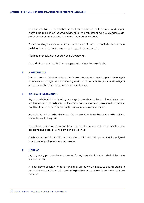To avoid isolation, some benches, fitness trails, tennis or basketball courts and bicycle paths in parks could be located adjacent to the perimeter of parks or along throughroads or combining them with the most used pedestrian paths.

For trails leading to dense vegetation, adequate warning signs should indicate that these trails lead users into isolated areas and suggest alternate routes.

Washrooms should be near children's playgrounds.

Food kiosks may be located near playgrounds where they are visible.

#### **5. NIGHT TIME USE**

The planning and design of the parks should take into account the possibility of night time use such as night tennis or evening walks. Such areas of the parks must be highly visible, properly lit and away from entrapment areas.

#### **6. SIGNS AND INFORMATION**

Signs should clearly indicate, using words, symbols and maps, the location of telephones, washrooms, isolated trails, less isolated alternative routes and any places where people are likely to be at most times while the park is open e.g., tennis courts.

Signs should be located at decision points, such as the intersection of two major paths or the entrance to the park.

Signs should indicate where and how help can be found and where maintenance problems and cases of vandalism can be reported.

The hours of operation should also be posted. Parks and open spaces should be signed for emergency telephone or panic alarm.

#### **7. LIGHTING**

Lighting along paths and areas intended for night use should be provided at the same level as streets.

A clear demarcation in terms of lighting levels should be introduced to differentiate areas that are not likely to be used at night from areas where there is likely to have activities.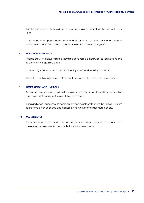Landscaping elements should be chosen and maintained so that they do not block light.

If the parks and open spaces are intended for night use, the paths and potential entrapment areas should be lit at pedestrian scale to street lighting level.

#### **8. FORMAL SURVEILLANCE**

In large parks, formal surveillance should be considered either by police, park attendants or community organised patrols.

Conducting safety audits should help identify safety and security concerns.

Park attendants or organised patrols should know how to respond to emergencies.

#### **9. OPTIMISATION AND LINKAGES**

Parks and open spaces should be improved to provide access to and from populated areas in order to increase the use of the park system.

Parks and open spaces should complement and be integrated with the sidewalk system to develop an open space and pedestrian network that attract more people.

#### **10. MAINTENANCE**

Parks and open spaces should be well maintained. Removing litter and graffiti, and replacing vandalised or burned out bulbs should be a priority.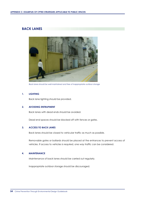### **BACK LANES**



*Back lanes should be well-maintained and free of inappropriate outdoor storage*

#### **1. LIGHTING**

Back lane lighting should be provided.

#### **2. AVOIDING ENTRAPMENT**

Back lanes with dead ends should be avoided.

Dead end spaces should be blocked off with fences or gates.

#### **3. ACCESS TO BACK LANES**

Back lanes should be closed to vehicular traffic as much as possible.

Removable gates or bollards should be placed at the entrances to prevent access of vehicles. If access to vehicles is required, one way traffic can be considered.

#### **4. MAINTENANCE**

Maintenance of back lanes should be carried out regularly.

Inappropriate outdoor storage should be discouraged.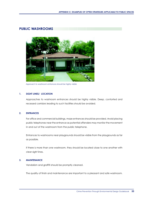#### **PUBLIC WASHROOMS**

![](_page_58_Picture_2.jpeg)

*Approach to washroom entrances should be highly visible*

#### **1. SIGHT LINES/ LOCATION**

Approaches to washroom entrances should be highly visible. Deep, contorted and recessed corridors leading to such facilities should be avoided.

#### **2. ENTRANCES**

For office and commercial buildings, maze entrances should be provided. Avoid placing public telephones near the entrance as potential offenders may monitor the movement in and out of the washroom from the public telephone.

Entrances to washrooms near playgrounds should be visible from the playgrounds as far as possible.

If there is more than one washroom, they should be located close to one another with clear sight lines.

#### **3. MAINTENANCE**

Vandalism and graffiti should be promptly cleaned.

The quality of finish and maintenance are important to a pleasant and safe washroom.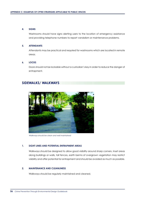#### **4. SIGNS**

Washrooms should have signs alerting users to the location of emergency assistance and providing telephone numbers to report vandalism or maintenance problems.

#### **5. ATTENDANTS**

Attendants may be practical and required for washrooms which are located in remote areas.

#### **6. LOCKS**

Doors should not be lockable without a custodian's key in order to reduce the danger of entrapment.

#### **SIDEWALKS/ WALKWAYS**

![](_page_59_Picture_8.jpeg)

*Walkways should be clean and well maintained*

#### **1. SIGHT LINES AND POTENTIAL ENTRAPMENT AREAS**

Walkways should be designed to allow good visibility around sharp corners. Inset areas along buildings or walls, tall fences, earth berms of overgrown vegetation may restrict visibility and offer potential for entrapment and should be avoided as much as possible.

#### **2. MAINTENANCE AND CLEANLINESS**

Walkways should be regularly maintained and cleaned.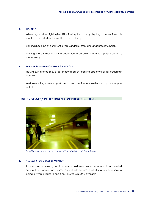#### **3. LIGHTING**

Where regular street lighting is not illuminating the walkways, lighting at pedestrian scale should be provided for the well travelled walkways.

Lighting should be at consistent levels, vandal resistant and at appropriate height.

Lighting intensity should allow a pedestrian to be able to identify a person about 10 metres away.

#### **4. FORMAL SURVEILLANCE THROUGH PATROLS**

Natural surveillance should be encouraged by creating opportunities for pedestrian activities.

Walkways in large isolated park areas may have formal surveillance by police or park patrol.

#### **UNDERPASSES/ PEDESTRIAN OVERHEAD BRIDGES**

![](_page_60_Picture_9.jpeg)

*Pedestrian underpasses can be designed with good visibility and clear sight lines*

#### **1. NECESSITY FOR GRADE SEPARATION**

If the above or below ground pedestrian walkways has to be located in an isolated area with low pedestrian volume, signs should be provided at strategic locations to indicate where it leads to and if any alternate route is available.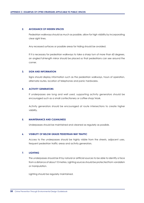#### **2. AVOIDANCE OF HIDDEN SPACES**

Pedestrian walkways should as much as possible, allow for high visibility by incorporating clear sight lines.

Any recessed surfaces or possible areas for hiding should be avoided.

If it is necessary for pedestrian walkways to take a sharp turn of more than 60 degrees, an angled full-length mirror should be placed so that pedestrians can see around the corner.

#### **3. SIGN AND INFORMATION**

Signs should display information such as the pedestrian walkways, hours of operation, alternate routes, location of telephones and panic hardwares.

#### **4. ACTIVITY GENERATORS**

If underpasses are long and well used, supporting activity generators should be encouraged such as a small confectionery or coffee shop/ kiosk.

Activity generators should be encouraged at route intersections to create higher visibility.

#### **5. MAINTENANCE AND CLEANLINESS**

Underpasses should be maintained and cleaned as regularly as possible.

#### **6. VISIBILITY OF BELOW GRADE PEDESTRIAN WAY TRAFFIC**

Access to the underpasses should be highly visible from the streets, adjacent uses, frequent pedestrian traffic areas and activity generators.

#### **7. LIGHTING**

The underpasses should be lit by natural or artificial sources to be able to identify a face from a distance of about 10 metres. Lighting sources should be protected from vandalism or manipulation.

Lighting should be regularly maintained.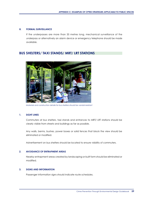#### **8. FORMAL SURVEILLANCE**

If the underpasses are more than 35 metres long, mechanical surveillance of the underpass or alternatively an alarm device or emergency telephone should be made available.

#### **BUS SHELTERS/ TAXI STANDS/ MRT/ LRT STATIONS**

![](_page_62_Picture_4.jpeg)

*Materials and construction details for bus shelters should be vandal resistant*

#### **1. SIGHT LINES**

Commuters at bus shelters, taxi stands and entrances to MRT/ LRT stations should be clearly visible from streets and buildings as far as possible.

Any walls, berms, bushes, power boxes or solid fences that block the view should be eliminated or modified.

Advertisement on bus shelters should be located to ensure visibility of commuters.

#### **2. AVOIDANCE OF ENTRAPMENT AREAS**

Nearby entrapment areas created by landscaping or built form should be eliminated or modified.

#### **3. SIGNS AND INFORMATION**

Passenger information signs should indicate route schedules.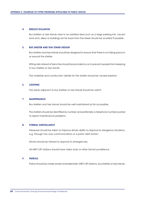#### **4. REDUCE ISOLATION**

Bus shelters or taxi stands near to an isolated area such as a large parking lots, vacant land and, alleys or buildings set far back from the street should be avoided if possible.

#### **5. BUS SHELTER AND TAXI STAND DESIGN**

Bus shelters and taxi stands should be designed to ensure that there is no hiding space in or around the shelter.

Sitting rails instead of benches should be provided so as to prevent people from sleeping in bus shelters or taxi stands.

The materials and construction details for the shelter should be vandal resistant.

#### **6. LIGHTING**

The areas adjacent to bus shelters or taxi stands should be well lit.

#### **7. MAINTENANCE**

Bus shelters and taxi stands should be well maintained as far as possible.

The shelters should be identified by number and preferably a telephone number posted to report maintenance problems.

#### **8. FORMAL SURVEILLANCE**

Measures should be taken to improve drivers ability to respond to dangerous situations, e.g. through two way communications or a panic alert button.

Drivers should be trained to respond to emergencies.

All MRT/ LRT stations should have video and/ or other formal surveillance.

#### **9. PATROLS**

Police should be made aware of problematic MRT/ LRT stations, bus shelters or taxi stands.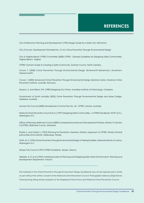### **REFERENCES**

City of Edmonton Planning and Development (1995) Design Guide for a Safer City, Edmonton

City of Tucson, Development Standard No. 2-14.0, Crime Prevention Through Environmental Design

City of Virginia Beach CPTED Committee (2000) CPTED - General Guidelines for Designing Safer Communities. Virginia Beach, Virginia

CPTED: Durham Guide to Creating a Safer Community. Durham County, North Carolina.

Crowe, T. (2000) Crime Prevention Through Environmental Design. Butterworth-Heinemann, Stoneham, **Massachusetts** 

Crowe, T. (2003) Advanced Crime Prevention Through Environmental Design (Seminar notes). American Crime Prevention Institute, Louisville, Kentucky

Geason, S. and Wilson, P.R. (1989) Designing Out Crime. Australian Institute of Criminology, Canberra

Government of South Australia (2002) Crime Prevention Through Environmental Design and Urban Design. Adelaide, Australia

Lismore City Council (2000) Development Control Plan No. 43 - CPTED. Lismore, Australia.

National Crime Prevention Council (U.S.) (1997) Designing Safer Communities - a CPTED Handbook. NCPC (U.S.), Washington D.C.

Office of Planning, Baltimore County (2000) Comprehensive Manual of Development Policies, Division VI, Section H (CPTED). Baltimore County, Maryland

Plaster, S. and Carter, S. (1993) Planning for Prevention: Saratosa, Florida's Approach to CPTED. Florida Criminal justice Executive institute, Tallahassee, Florida.

Smith, M. S. (1996) Crime Prevention Through Environmental Design in Parking Facilities. National Institute of Justice, Washington D.C.

Tempe City Council (1997) CPTED Guidelines. Tempe, Arizona

Wekerle, G. R. et el (1992) A Working Guide for Planning and Designing Safer Urban Environments. Planning and Development Department, Toronto.

The materials in this Crime Prevention Through Environment Design Guidebook may not be reproduced in whole or part without the written consent of the National Crime Prevention Council. Photographs taken by SSSgt Steven Cheong Kong Meng remain property of the Singapore Police Force and National Crime Prevention Council.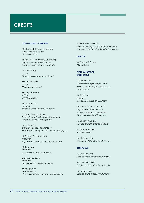### **CREDITS**

#### **CPTED PROJECT COMMITTEE**

Mr Chong Lit Cheong (Chairman) *Chief Executive Officer JTC Corporation*

Mr Benedict Tan (Deputy Chairman) *Deputy Chief Executive Officer Building and Construction Authority*

Dr John Keung *DCEO Housing and Development Board*

Mrs Lee Wai Chin *DCEO National Parks Board*

Mr Ong Geok Soo *ACEO JTC Corporation*

Mr Tan Bing Chui *Member National Crime Prevention Council*

Professor Cheong Hin Fatt *Dean of School of Design & Environment National University of Singapore*

Mr Lim Tow Fok *General Manager, Keppel Land Real Estate Developers' Association of Singapore*

Mr Eugene Yong Kon Yoon *President Singapore Contractors Association Limited*

Mr John Ting *President Singapore Institute of Architects*

Er Dr Lock Kai Sang *President Institution of Engineers Singapore*

Mr Ng Lip Joon Hon. Secretary *Singapore Institute of Landscape Architects* Mr Francisco John Celio *Director, Security Consultancy Department Commercial & Industrial Security Corporation*

#### **ADVISOR**

Mr Timothy D Crowe *Criminologist*

#### **CPTED GUIDEBOOK WORKGROUP**

Mr Lim Tow Fok *General Manager, Keppel Land Real Estate Developers' Association of Singapore*

Mr John Ting *President Singapore Institute of Architects*

Associate Professor Teh Kem Jin *Department of Architecture, School of Design & Environment National University of Singapore*

Mr Cheong Kin Man *Housing and Development Board*

Mr Cheang Tick Kei *JTC Corporation*

Mr Chin Jen Chyi *Building and Construction Authority*

#### **SECRETARIAT**

Mr Chin Jen Chyi *Building and Construction Authority*

Mr Lim Cheng Yong *Building and Construction Authority*

Mr Ng Man Hon *Building and Construction Authority*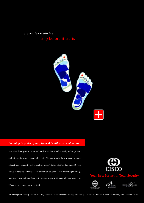*preventive medicine,*

### stop before it starts

![](_page_66_Picture_2.jpeg)

#### *Planning to protect your physical health is second nature.*

But what about your accumulated wealth? At home and at work, buildings, cash and informatiin resources are all at risk. The question is, how to guard yourself against loss without trying yourself in knots? Enter CISCO. For over 29 years we've had the ins and outs of loss prevention covered. From protecting buildings/ premises, cash and valuables, information assets to IT networks and resources. Whatever you value, we keep it safe.

![](_page_66_Picture_5.jpeg)

#### **Best Partner in Total Security**

![](_page_66_Picture_7.jpeg)

![](_page_66_Picture_8.jpeg)

Crime Prevention Through Environmental Design Guidebook **63**

![](_page_66_Picture_9.jpeg)

For an integrated security solution, call (65) 1800 747 28888 or email security @cisco.com.sg. Or visit our web site at www.cisco.com.sg for more information.